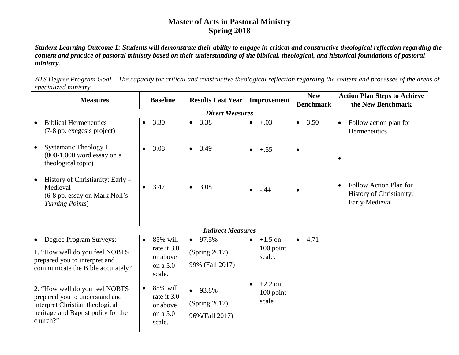## **Master of Arts in Pastoral Ministry Spring 2018**

*Student Learning Outcome 1: Students will demonstrate their ability to engage in critical and constructive theological reflection regarding the content and practice of pastoral ministry based on their understanding of the biblical, theological, and historical foundations of pastoral ministry.* 

*ATS Degree Program Goal – The capacity for critical and constructive theological reflection regarding the content and processes of the areas of specialized ministry.*

| <b>Measures</b>                                                                                                                                        | <b>Baseline</b>                                              | <b>Results Last Year</b>                               | Improvement                                    | <b>New</b>        | <b>Action Plan Steps to Achieve</b>                                  |  |  |
|--------------------------------------------------------------------------------------------------------------------------------------------------------|--------------------------------------------------------------|--------------------------------------------------------|------------------------------------------------|-------------------|----------------------------------------------------------------------|--|--|
|                                                                                                                                                        |                                                              |                                                        |                                                | <b>Benchmark</b>  | the New Benchmark                                                    |  |  |
| <b>Direct Measures</b>                                                                                                                                 |                                                              |                                                        |                                                |                   |                                                                      |  |  |
| <b>Biblical Hermeneutics</b><br>(7-8 pp. exegesis project)                                                                                             | 3.30<br>$\bullet$                                            | 3.38<br>$\bullet$                                      | $+.03$<br>$\bullet$                            | 3.50<br>$\bullet$ | Follow action plan for<br>$\bullet$<br>Hermeneutics                  |  |  |
| <b>Systematic Theology 1</b><br>$(800-1,000$ word essay on a<br>theological topic)                                                                     | 3.08                                                         | 3.49<br>$\bullet$                                      | $+.55$<br>$\bullet$                            |                   |                                                                      |  |  |
| History of Christianity: Early -<br>Medieval<br>(6-8 pp. essay on Mark Noll's<br>Turning Points)                                                       | 3.47                                                         | 3.08<br>$\bullet$                                      | -.44<br>$\bullet$                              |                   | Follow Action Plan for<br>History of Christianity:<br>Early-Medieval |  |  |
| <b>Indirect Measures</b>                                                                                                                               |                                                              |                                                        |                                                |                   |                                                                      |  |  |
| • Degree Program Surveys:                                                                                                                              | 85% will<br>$\bullet$                                        | $\bullet$ 97.5%                                        | $+1.5$ on<br>$\bullet$                         | $-4.71$           |                                                                      |  |  |
| 1. "How well do you feel NOBTS<br>prepared you to interpret and                                                                                        | rate it 3.0<br>or above<br>on a $5.0$                        | (Spring 2017)<br>99% (Fall 2017)                       | $100$ point<br>scale.                          |                   |                                                                      |  |  |
| communicate the Bible accurately?                                                                                                                      | scale.                                                       |                                                        |                                                |                   |                                                                      |  |  |
| 2. "How well do you feel NOBTS<br>prepared you to understand and<br>interpret Christian theological<br>heritage and Baptist polity for the<br>church?" | $85\%$ will<br>rate it 3.0<br>or above<br>on a 5.0<br>scale. | 93.8%<br>$\bullet$<br>(Spring 2017)<br>96% (Fall 2017) | $+2.2$ on<br>$\bullet$<br>$100$ point<br>scale |                   |                                                                      |  |  |
|                                                                                                                                                        |                                                              |                                                        |                                                |                   |                                                                      |  |  |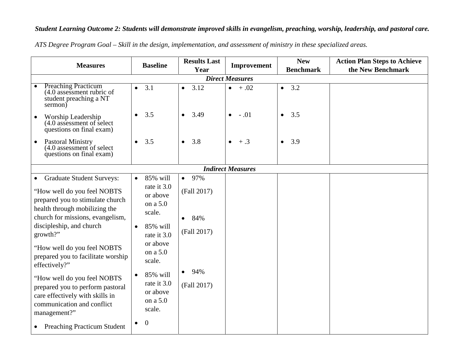## *Student Learning Outcome 2: Students will demonstrate improved skills in evangelism, preaching, worship, leadership, and pastoral care.*

| <b>Measures</b>                                                                                                                                                                                                                                                                                                                                                                                                                                       | <b>Baseline</b>                                                                                                                                                                                                            | <b>Results Last</b><br>Year                                                                   | Improvement              | <b>New</b><br><b>Benchmark</b> | <b>Action Plan Steps to Achieve</b><br>the New Benchmark |
|-------------------------------------------------------------------------------------------------------------------------------------------------------------------------------------------------------------------------------------------------------------------------------------------------------------------------------------------------------------------------------------------------------------------------------------------------------|----------------------------------------------------------------------------------------------------------------------------------------------------------------------------------------------------------------------------|-----------------------------------------------------------------------------------------------|--------------------------|--------------------------------|----------------------------------------------------------|
|                                                                                                                                                                                                                                                                                                                                                                                                                                                       |                                                                                                                                                                                                                            |                                                                                               | <b>Direct Measures</b>   |                                |                                                          |
| <b>Preaching Practicum</b><br>$(4.0$ assessment rubric of<br>student preaching a NT<br>sermon)                                                                                                                                                                                                                                                                                                                                                        | 3.1<br>$\bullet$                                                                                                                                                                                                           | 3.12<br>$\bullet$                                                                             | $+ .02$<br>$\bullet$     | 3.2<br>$\bullet$               |                                                          |
| Worship Leadership<br>$\bullet$<br>(4.0 assessment of select<br>questions on final exam)                                                                                                                                                                                                                                                                                                                                                              | 3.5<br>$\bullet$                                                                                                                                                                                                           | 3.49<br>$\bullet$                                                                             | $-0.01$<br>$\bullet$     | 3.5<br>$\bullet$               |                                                          |
| <b>Pastoral Ministry</b><br>$\bullet$<br>(4.0 assessment of select<br>questions on final exam)                                                                                                                                                                                                                                                                                                                                                        | 3.5<br>$\bullet$                                                                                                                                                                                                           | 3.8<br>$\bullet$                                                                              | $+ .3$<br>$\bullet$      | 3.9<br>$\bullet$               |                                                          |
|                                                                                                                                                                                                                                                                                                                                                                                                                                                       |                                                                                                                                                                                                                            |                                                                                               | <b>Indirect Measures</b> |                                |                                                          |
| • Graduate Student Surveys:<br>"How well do you feel NOBTS<br>prepared you to stimulate church<br>health through mobilizing the<br>church for missions, evangelism,<br>discipleship, and church<br>growth?"<br>"How well do you feel NOBTS<br>prepared you to facilitate worship<br>effectively?"<br>"How well do you feel NOBTS<br>prepared you to perform pastoral<br>care effectively with skills in<br>communication and conflict<br>management?" | 85% will<br>$\bullet$<br>rate it 3.0<br>or above<br>on a 5.0<br>scale.<br>85% will<br>$\bullet$<br>rate it 3.0<br>or above<br>on a 5.0<br>scale.<br>85% will<br>$\bullet$<br>rate it 3.0<br>or above<br>on a 5.0<br>scale. | $• 97\%$<br>(Fall 2017)<br>84%<br>$\bullet$<br>(Fall 2017)<br>94%<br>$\bullet$<br>(Fall 2017) |                          |                                |                                                          |
| • Preaching Practicum Student                                                                                                                                                                                                                                                                                                                                                                                                                         | $\theta$<br>$\bullet$                                                                                                                                                                                                      |                                                                                               |                          |                                |                                                          |

*ATS Degree Program Goal – Skill in the design, implementation, and assessment of ministry in these specialized areas.*